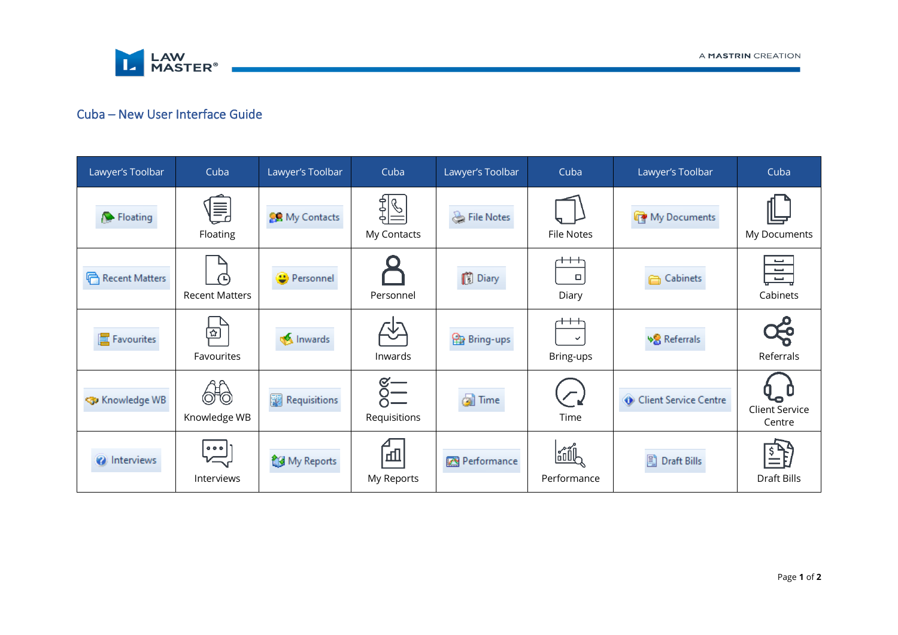

# Cuba – New User Interface Guide

| Lawyer's Toolbar       | Cuba                                  | Lawyer's Toolbar  | Cuba                                 | Lawyer's Toolbar | Cuba                                     | Lawyer's Toolbar                   | Cuba                                                    |  |
|------------------------|---------------------------------------|-------------------|--------------------------------------|------------------|------------------------------------------|------------------------------------|---------------------------------------------------------|--|
| Floating               | 闫<br>Floating                         | My Contacts       | $\frac{2}{9}$<br>My Contacts         | File Notes       | <b>File Notes</b>                        | My Documents                       | My Documents                                            |  |
| Recent Matters         | ∩∟`<br><b>Recent Matters</b>          | <b>Personnel</b>  | Personnel                            | <b>Diary</b>     | $^{\rm ++}$<br>$\Box$<br>Diary           | Cabinets                           | السبا<br>$\overline{\phantom{a}}$<br>$\sim$<br>Cabinets |  |
| <b>图 Favourites</b>    | <u>ন্দ্ৰ</u><br>Favourites            | <b>W</b> Inwards  | Inwards                              | <b>Bring-ups</b> | $^{\rm ++}$<br>$\checkmark$<br>Bring-ups | <b>V</b> <sup>8</sup> Referrals    | 성<br>Referrals                                          |  |
| <b>Sp</b> Knowledge WB | 610<br>Knowledge WB                   | 飋<br>Requisitions | $\frac{1}{\sqrt{2}}$<br>Requisitions | <b>B</b> Time    | $\overline{\mathcal{L}}$<br>Time         | Client Service Centre              | <b>Client Service</b><br>Centre                         |  |
| <i>a</i> Interviews    | $\overline{\mathbb{R}}$<br>Interviews | My Reports        | 血<br>My Reports                      | Performance      | oOUl∕<br>Performance                     | $\mathbb{E}$<br><b>Draft Bills</b> | Draft Bills                                             |  |